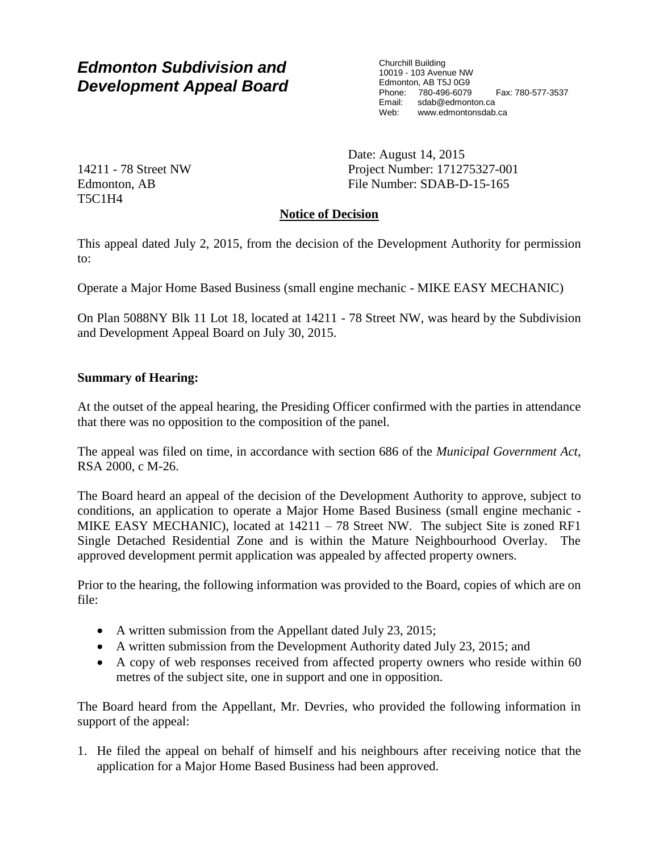# *Edmonton Subdivision and Development Appeal Board*

Churchill Building 10019 - 103 Avenue NW Edmonton, AB T5J 0G9 Phone: 780-496-6079 Fax: 780-577-3537 Email: sdab@edmonton.ca<br>Web: www.edmonton.ca Web: www.edmontonsdab.ca

14211 - 78 Street NW Edmonton, AB T5C1H4

Date: August 14, 2015 Project Number: 171275327-001 File Number: SDAB-D-15-165

## **Notice of Decision**

This appeal dated July 2, 2015, from the decision of the Development Authority for permission to:

Operate a Major Home Based Business (small engine mechanic - MIKE EASY MECHANIC)

On Plan 5088NY Blk 11 Lot 18, located at 14211 - 78 Street NW, was heard by the Subdivision and Development Appeal Board on July 30, 2015.

#### **Summary of Hearing:**

At the outset of the appeal hearing, the Presiding Officer confirmed with the parties in attendance that there was no opposition to the composition of the panel.

The appeal was filed on time, in accordance with section 686 of the *Municipal Government Act*, RSA 2000, c M-26.

The Board heard an appeal of the decision of the Development Authority to approve, subject to conditions, an application to operate a Major Home Based Business (small engine mechanic - MIKE EASY MECHANIC), located at  $14211 - 78$  Street NW. The subject Site is zoned RF1 Single Detached Residential Zone and is within the Mature Neighbourhood Overlay. The approved development permit application was appealed by affected property owners.

Prior to the hearing, the following information was provided to the Board, copies of which are on file:

- A written submission from the Appellant dated July 23, 2015;
- A written submission from the Development Authority dated July 23, 2015; and
- A copy of web responses received from affected property owners who reside within 60 metres of the subject site, one in support and one in opposition.

The Board heard from the Appellant, Mr. Devries, who provided the following information in support of the appeal:

1. He filed the appeal on behalf of himself and his neighbours after receiving notice that the application for a Major Home Based Business had been approved.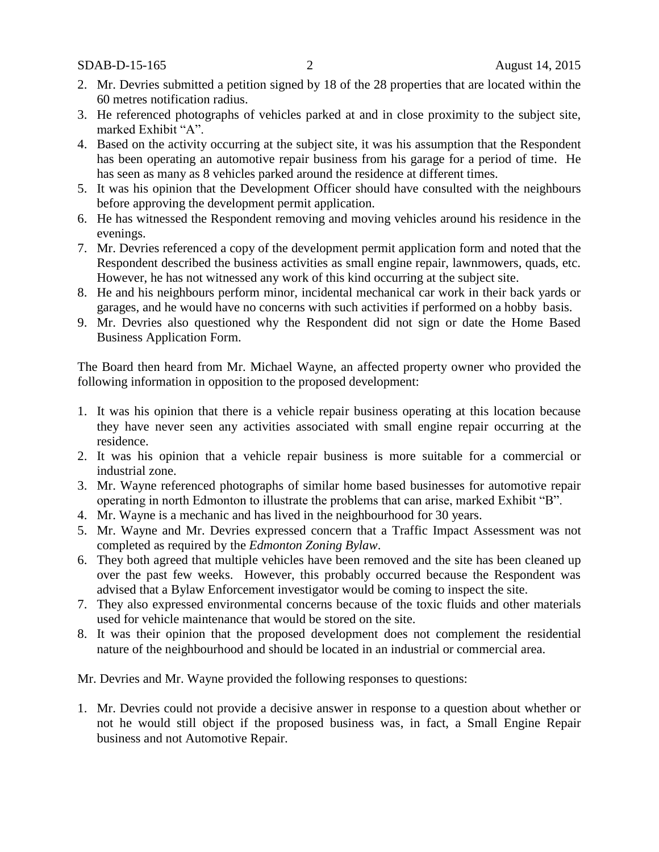SDAB-D-15-165 2 August 14, 2015

- 2. Mr. Devries submitted a petition signed by 18 of the 28 properties that are located within the 60 metres notification radius.
- 3. He referenced photographs of vehicles parked at and in close proximity to the subject site, marked Exhibit "A".
- 4. Based on the activity occurring at the subject site, it was his assumption that the Respondent has been operating an automotive repair business from his garage for a period of time. He has seen as many as 8 vehicles parked around the residence at different times.
- 5. It was his opinion that the Development Officer should have consulted with the neighbours before approving the development permit application.
- 6. He has witnessed the Respondent removing and moving vehicles around his residence in the evenings.
- 7. Mr. Devries referenced a copy of the development permit application form and noted that the Respondent described the business activities as small engine repair, lawnmowers, quads, etc. However, he has not witnessed any work of this kind occurring at the subject site.
- 8. He and his neighbours perform minor, incidental mechanical car work in their back yards or garages, and he would have no concerns with such activities if performed on a hobby basis.
- 9. Mr. Devries also questioned why the Respondent did not sign or date the Home Based Business Application Form.

The Board then heard from Mr. Michael Wayne, an affected property owner who provided the following information in opposition to the proposed development:

- 1. It was his opinion that there is a vehicle repair business operating at this location because they have never seen any activities associated with small engine repair occurring at the residence.
- 2. It was his opinion that a vehicle repair business is more suitable for a commercial or industrial zone.
- 3. Mr. Wayne referenced photographs of similar home based businesses for automotive repair operating in north Edmonton to illustrate the problems that can arise, marked Exhibit "B".
- 4. Mr. Wayne is a mechanic and has lived in the neighbourhood for 30 years.
- 5. Mr. Wayne and Mr. Devries expressed concern that a Traffic Impact Assessment was not completed as required by the *Edmonton Zoning Bylaw*.
- 6. They both agreed that multiple vehicles have been removed and the site has been cleaned up over the past few weeks. However, this probably occurred because the Respondent was advised that a Bylaw Enforcement investigator would be coming to inspect the site.
- 7. They also expressed environmental concerns because of the toxic fluids and other materials used for vehicle maintenance that would be stored on the site.
- 8. It was their opinion that the proposed development does not complement the residential nature of the neighbourhood and should be located in an industrial or commercial area.

Mr. Devries and Mr. Wayne provided the following responses to questions:

1. Mr. Devries could not provide a decisive answer in response to a question about whether or not he would still object if the proposed business was, in fact, a Small Engine Repair business and not Automotive Repair.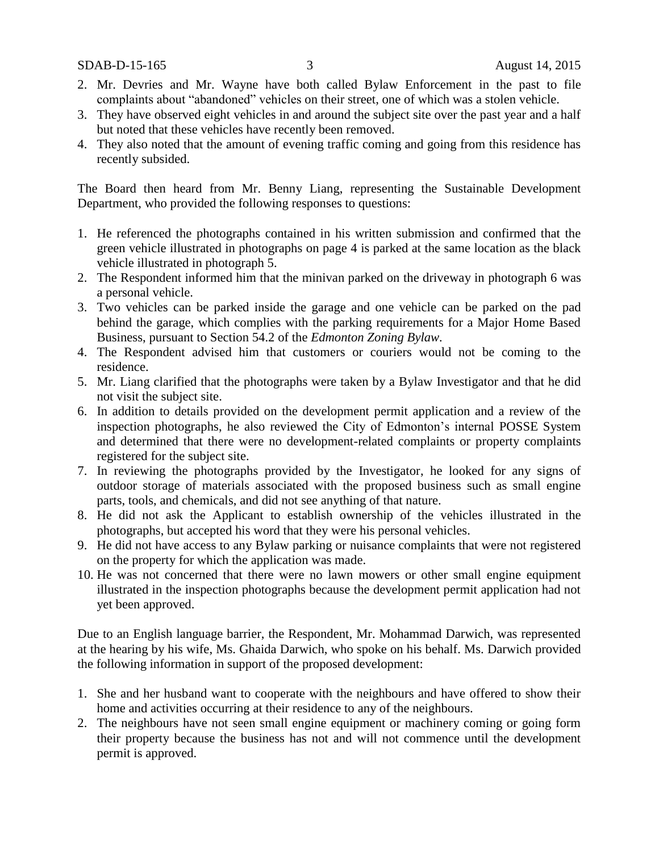SDAB-D-15-165 3 August 14, 2015

- 2. Mr. Devries and Mr. Wayne have both called Bylaw Enforcement in the past to file complaints about "abandoned" vehicles on their street, one of which was a stolen vehicle.
- 3. They have observed eight vehicles in and around the subject site over the past year and a half but noted that these vehicles have recently been removed.
- 4. They also noted that the amount of evening traffic coming and going from this residence has recently subsided.

The Board then heard from Mr. Benny Liang, representing the Sustainable Development Department, who provided the following responses to questions:

- 1. He referenced the photographs contained in his written submission and confirmed that the green vehicle illustrated in photographs on page 4 is parked at the same location as the black vehicle illustrated in photograph 5.
- 2. The Respondent informed him that the minivan parked on the driveway in photograph 6 was a personal vehicle.
- 3. Two vehicles can be parked inside the garage and one vehicle can be parked on the pad behind the garage, which complies with the parking requirements for a Major Home Based Business, pursuant to Section 54.2 of the *Edmonton Zoning Bylaw.*
- 4. The Respondent advised him that customers or couriers would not be coming to the residence.
- 5. Mr. Liang clarified that the photographs were taken by a Bylaw Investigator and that he did not visit the subject site.
- 6. In addition to details provided on the development permit application and a review of the inspection photographs, he also reviewed the City of Edmonton's internal POSSE System and determined that there were no development-related complaints or property complaints registered for the subject site.
- 7. In reviewing the photographs provided by the Investigator, he looked for any signs of outdoor storage of materials associated with the proposed business such as small engine parts, tools, and chemicals, and did not see anything of that nature.
- 8. He did not ask the Applicant to establish ownership of the vehicles illustrated in the photographs, but accepted his word that they were his personal vehicles.
- 9. He did not have access to any Bylaw parking or nuisance complaints that were not registered on the property for which the application was made.
- 10. He was not concerned that there were no lawn mowers or other small engine equipment illustrated in the inspection photographs because the development permit application had not yet been approved.

Due to an English language barrier, the Respondent, Mr. Mohammad Darwich, was represented at the hearing by his wife, Ms. Ghaida Darwich, who spoke on his behalf. Ms. Darwich provided the following information in support of the proposed development:

- 1. She and her husband want to cooperate with the neighbours and have offered to show their home and activities occurring at their residence to any of the neighbours.
- 2. The neighbours have not seen small engine equipment or machinery coming or going form their property because the business has not and will not commence until the development permit is approved.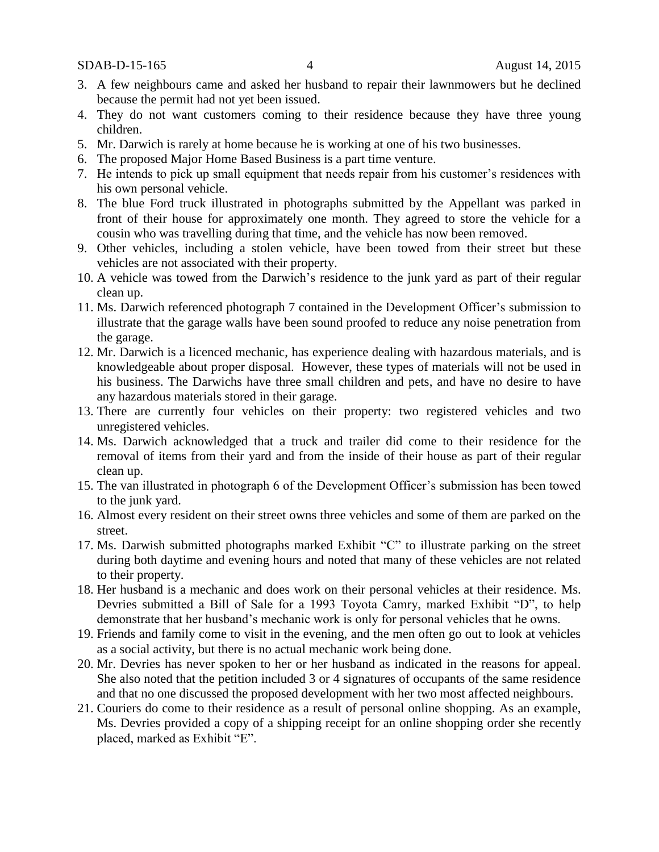SDAB-D-15-165 4 August 14, 2015

- 3. A few neighbours came and asked her husband to repair their lawnmowers but he declined because the permit had not yet been issued.
- 4. They do not want customers coming to their residence because they have three young children.
- 5. Mr. Darwich is rarely at home because he is working at one of his two businesses.
- 6. The proposed Major Home Based Business is a part time venture.
- 7. He intends to pick up small equipment that needs repair from his customer's residences with his own personal vehicle.
- 8. The blue Ford truck illustrated in photographs submitted by the Appellant was parked in front of their house for approximately one month. They agreed to store the vehicle for a cousin who was travelling during that time, and the vehicle has now been removed.
- 9. Other vehicles, including a stolen vehicle, have been towed from their street but these vehicles are not associated with their property.
- 10. A vehicle was towed from the Darwich's residence to the junk yard as part of their regular clean up.
- 11. Ms. Darwich referenced photograph 7 contained in the Development Officer's submission to illustrate that the garage walls have been sound proofed to reduce any noise penetration from the garage.
- 12. Mr. Darwich is a licenced mechanic, has experience dealing with hazardous materials, and is knowledgeable about proper disposal. However, these types of materials will not be used in his business. The Darwichs have three small children and pets, and have no desire to have any hazardous materials stored in their garage.
- 13. There are currently four vehicles on their property: two registered vehicles and two unregistered vehicles.
- 14. Ms. Darwich acknowledged that a truck and trailer did come to their residence for the removal of items from their yard and from the inside of their house as part of their regular clean up.
- 15. The van illustrated in photograph 6 of the Development Officer's submission has been towed to the junk yard.
- 16. Almost every resident on their street owns three vehicles and some of them are parked on the street.
- 17. Ms. Darwish submitted photographs marked Exhibit "C" to illustrate parking on the street during both daytime and evening hours and noted that many of these vehicles are not related to their property.
- 18. Her husband is a mechanic and does work on their personal vehicles at their residence. Ms. Devries submitted a Bill of Sale for a 1993 Toyota Camry, marked Exhibit "D", to help demonstrate that her husband's mechanic work is only for personal vehicles that he owns.
- 19. Friends and family come to visit in the evening, and the men often go out to look at vehicles as a social activity, but there is no actual mechanic work being done.
- 20. Mr. Devries has never spoken to her or her husband as indicated in the reasons for appeal. She also noted that the petition included 3 or 4 signatures of occupants of the same residence and that no one discussed the proposed development with her two most affected neighbours.
- 21. Couriers do come to their residence as a result of personal online shopping. As an example, Ms. Devries provided a copy of a shipping receipt for an online shopping order she recently placed, marked as Exhibit "E".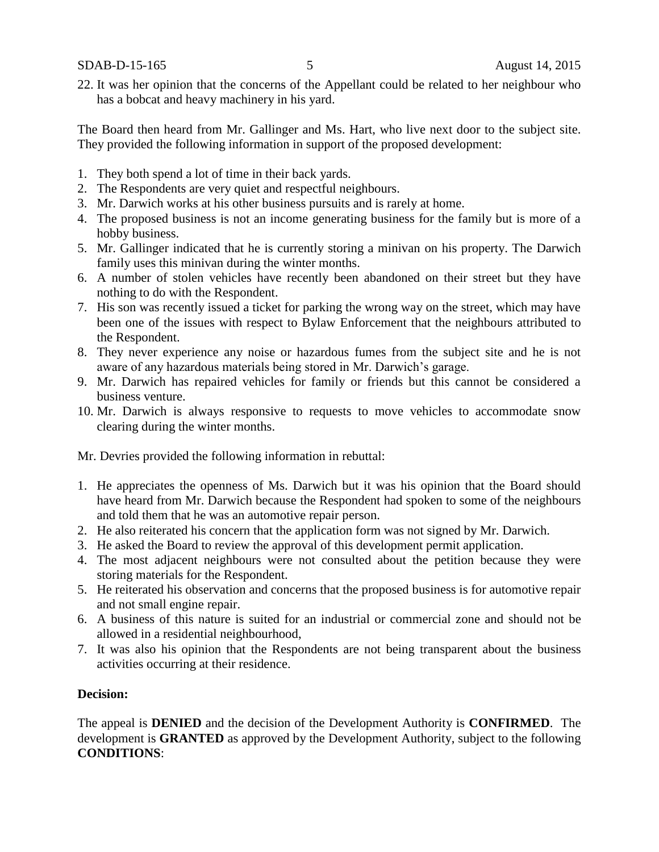SDAB-D-15-165 5 August 14, 2015

22. It was her opinion that the concerns of the Appellant could be related to her neighbour who has a bobcat and heavy machinery in his yard.

The Board then heard from Mr. Gallinger and Ms. Hart, who live next door to the subject site. They provided the following information in support of the proposed development:

- 1. They both spend a lot of time in their back yards.
- 2. The Respondents are very quiet and respectful neighbours.
- 3. Mr. Darwich works at his other business pursuits and is rarely at home.
- 4. The proposed business is not an income generating business for the family but is more of a hobby business.
- 5. Mr. Gallinger indicated that he is currently storing a minivan on his property. The Darwich family uses this minivan during the winter months.
- 6. A number of stolen vehicles have recently been abandoned on their street but they have nothing to do with the Respondent.
- 7. His son was recently issued a ticket for parking the wrong way on the street, which may have been one of the issues with respect to Bylaw Enforcement that the neighbours attributed to the Respondent.
- 8. They never experience any noise or hazardous fumes from the subject site and he is not aware of any hazardous materials being stored in Mr. Darwich's garage.
- 9. Mr. Darwich has repaired vehicles for family or friends but this cannot be considered a business venture.
- 10. Mr. Darwich is always responsive to requests to move vehicles to accommodate snow clearing during the winter months.

Mr. Devries provided the following information in rebuttal:

- 1. He appreciates the openness of Ms. Darwich but it was his opinion that the Board should have heard from Mr. Darwich because the Respondent had spoken to some of the neighbours and told them that he was an automotive repair person.
- 2. He also reiterated his concern that the application form was not signed by Mr. Darwich.
- 3. He asked the Board to review the approval of this development permit application.
- 4. The most adjacent neighbours were not consulted about the petition because they were storing materials for the Respondent.
- 5. He reiterated his observation and concerns that the proposed business is for automotive repair and not small engine repair.
- 6. A business of this nature is suited for an industrial or commercial zone and should not be allowed in a residential neighbourhood,
- 7. It was also his opinion that the Respondents are not being transparent about the business activities occurring at their residence.

#### **Decision:**

The appeal is **DENIED** and the decision of the Development Authority is **CONFIRMED**. The development is **GRANTED** as approved by the Development Authority, subject to the following **CONDITIONS**: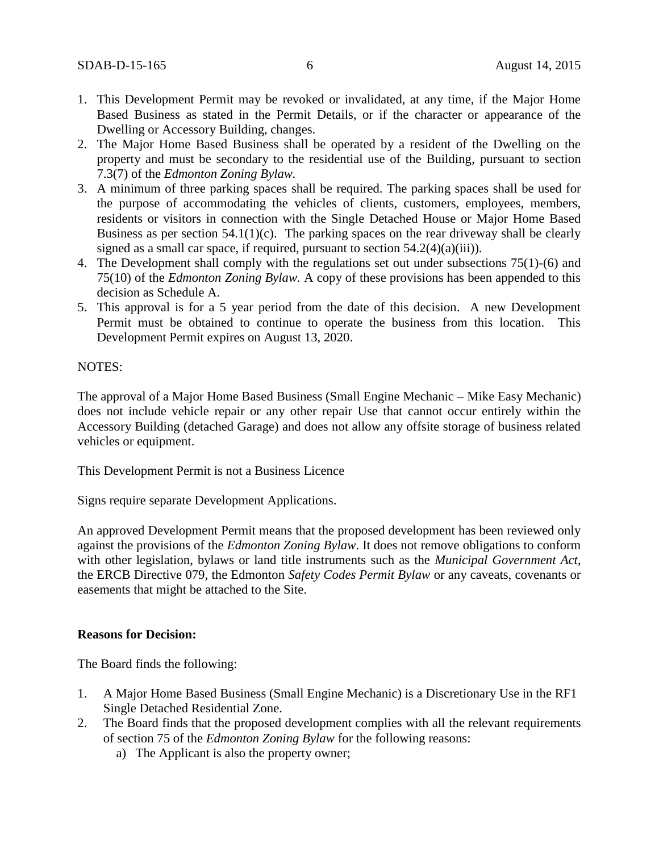- 1. This Development Permit may be revoked or invalidated, at any time, if the Major Home Based Business as stated in the Permit Details, or if the character or appearance of the Dwelling or Accessory Building, changes.
- 2. The Major Home Based Business shall be operated by a resident of the Dwelling on the property and must be secondary to the residential use of the Building, pursuant to section 7.3(7) of the *Edmonton Zoning Bylaw.*
- 3. A minimum of three parking spaces shall be required. The parking spaces shall be used for the purpose of accommodating the vehicles of clients, customers, employees, members, residents or visitors in connection with the Single Detached House or Major Home Based Business as per section  $54.1(1)(c)$ . The parking spaces on the rear driveway shall be clearly signed as a small car space, if required, pursuant to section 54.2(4)(a)(iii)).
- 4. The Development shall comply with the regulations set out under subsections 75(1)-(6) and 75(10) of the *Edmonton Zoning Bylaw.* A copy of these provisions has been appended to this decision as Schedule A.
- 5. This approval is for a 5 year period from the date of this decision. A new Development Permit must be obtained to continue to operate the business from this location. This Development Permit expires on August 13, 2020.

#### NOTES:

The approval of a Major Home Based Business (Small Engine Mechanic – Mike Easy Mechanic) does not include vehicle repair or any other repair Use that cannot occur entirely within the Accessory Building (detached Garage) and does not allow any offsite storage of business related vehicles or equipment.

This Development Permit is not a Business Licence

Signs require separate Development Applications.

An approved Development Permit means that the proposed development has been reviewed only against the provisions of the *Edmonton Zoning Bylaw*. It does not remove obligations to conform with other legislation, bylaws or land title instruments such as the *Municipal Government Act*, the ERCB Directive 079, the Edmonton *Safety Codes Permit Bylaw* or any caveats, covenants or easements that might be attached to the Site.

### **Reasons for Decision:**

The Board finds the following:

- 1. A Major Home Based Business (Small Engine Mechanic) is a Discretionary Use in the RF1 Single Detached Residential Zone.
- 2. The Board finds that the proposed development complies with all the relevant requirements of section 75 of the *Edmonton Zoning Bylaw* for the following reasons:
	- a) The Applicant is also the property owner;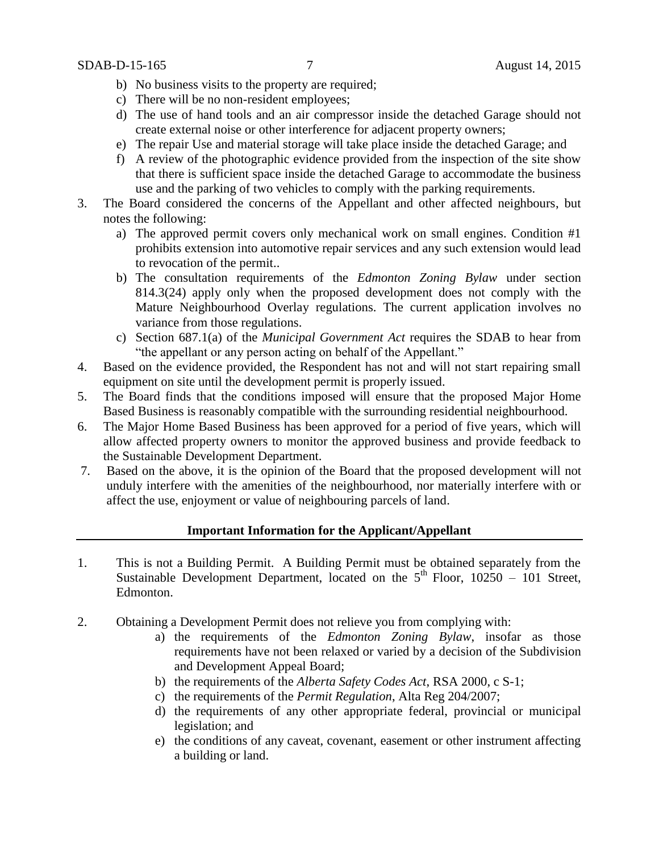- b) No business visits to the property are required;
- c) There will be no non-resident employees;
- d) The use of hand tools and an air compressor inside the detached Garage should not create external noise or other interference for adjacent property owners;
- e) The repair Use and material storage will take place inside the detached Garage; and
- f) A review of the photographic evidence provided from the inspection of the site show that there is sufficient space inside the detached Garage to accommodate the business use and the parking of two vehicles to comply with the parking requirements.
- 3. The Board considered the concerns of the Appellant and other affected neighbours, but notes the following:
	- a) The approved permit covers only mechanical work on small engines. Condition #1 prohibits extension into automotive repair services and any such extension would lead to revocation of the permit..
	- b) The consultation requirements of the *Edmonton Zoning Bylaw* under section 814.3(24) apply only when the proposed development does not comply with the Mature Neighbourhood Overlay regulations. The current application involves no variance from those regulations.
	- c) Section 687.1(a) of the *Municipal Government Act* requires the SDAB to hear from "the appellant or any person acting on behalf of the Appellant."
- 4. Based on the evidence provided, the Respondent has not and will not start repairing small equipment on site until the development permit is properly issued.
- 5. The Board finds that the conditions imposed will ensure that the proposed Major Home Based Business is reasonably compatible with the surrounding residential neighbourhood.
- 6. The Major Home Based Business has been approved for a period of five years, which will allow affected property owners to monitor the approved business and provide feedback to the Sustainable Development Department.
- 7. Based on the above, it is the opinion of the Board that the proposed development will not unduly interfere with the amenities of the neighbourhood, nor materially interfere with or affect the use, enjoyment or value of neighbouring parcels of land.

#### **Important Information for the Applicant/Appellant**

- 1. This is not a Building Permit. A Building Permit must be obtained separately from the Sustainable Development Department, located on the  $5<sup>th</sup>$  Floor, 10250 – 101 Street, Edmonton.
- 2. Obtaining a Development Permit does not relieve you from complying with:
	- a) the requirements of the *Edmonton Zoning Bylaw*, insofar as those requirements have not been relaxed or varied by a decision of the Subdivision and Development Appeal Board;
	- b) the requirements of the *Alberta Safety Codes Act*, RSA 2000, c S-1;
	- c) the requirements of the *Permit Regulation*, Alta Reg 204/2007;
	- d) the requirements of any other appropriate federal, provincial or municipal legislation; and
	- e) the conditions of any caveat, covenant, easement or other instrument affecting a building or land.